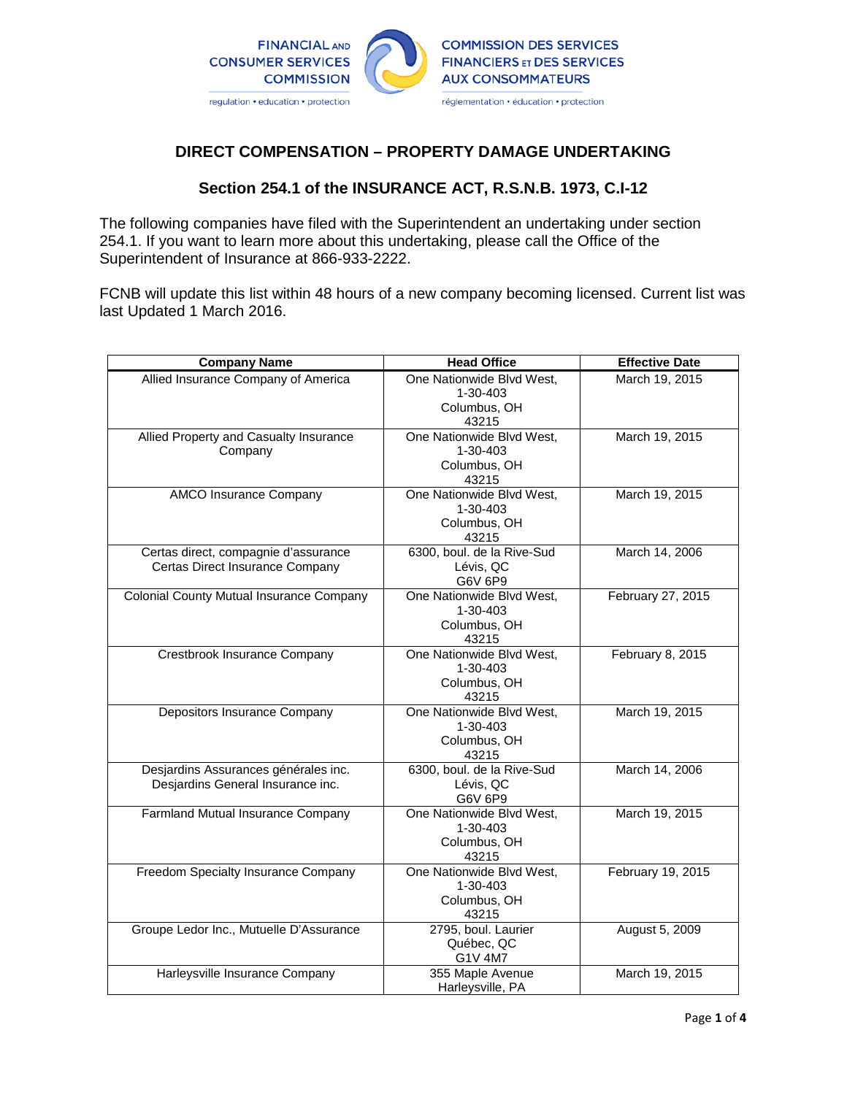

# **DIRECT COMPENSATION – PROPERTY DAMAGE UNDERTAKING**

# **Section 254.1 of the INSURANCE ACT, R.S.N.B. 1973, C.I-12**

The following companies have filed with the Superintendent an undertaking under section 254.1. If you want to learn more about this undertaking, please call the Office of the Superintendent of Insurance at 866-933-2222.

FCNB will update this list within 48 hours of a new company becoming licensed. Current list was last Updated 1 March 2016.

| <b>Company Name</b>                                                       | <b>Head Office</b>                                                   | <b>Effective Date</b> |
|---------------------------------------------------------------------------|----------------------------------------------------------------------|-----------------------|
| Allied Insurance Company of America                                       | One Nationwide Blvd West,<br>$1 - 30 - 403$<br>Columbus, OH<br>43215 | March 19, 2015        |
| Allied Property and Casualty Insurance<br>Company                         | One Nationwide Blvd West,<br>1-30-403<br>Columbus, OH<br>43215       | March 19, 2015        |
| <b>AMCO Insurance Company</b>                                             | One Nationwide Blvd West,<br>1-30-403<br>Columbus, OH<br>43215       | March 19, 2015        |
| Certas direct, compagnie d'assurance<br>Certas Direct Insurance Company   | 6300, boul. de la Rive-Sud<br>Lévis, QC<br>G6V 6P9                   | March 14, 2006        |
| Colonial County Mutual Insurance Company                                  | One Nationwide Blvd West,<br>$1 - 30 - 403$<br>Columbus, OH<br>43215 | February 27, 2015     |
| Crestbrook Insurance Company                                              | One Nationwide Blvd West,<br>1-30-403<br>Columbus, OH<br>43215       | February 8, 2015      |
| Depositors Insurance Company                                              | One Nationwide Blvd West,<br>1-30-403<br>Columbus, OH<br>43215       | March 19, 2015        |
| Desjardins Assurances générales inc.<br>Desjardins General Insurance inc. | 6300, boul. de la Rive-Sud<br>Lévis, QC<br>G6V 6P9                   | March 14, 2006        |
| Farmland Mutual Insurance Company                                         | One Nationwide Blvd West,<br>1-30-403<br>Columbus, OH<br>43215       | March 19, 2015        |
| Freedom Specialty Insurance Company                                       | One Nationwide Blvd West,<br>1-30-403<br>Columbus, OH<br>43215       | February 19, 2015     |
| Groupe Ledor Inc., Mutuelle D'Assurance                                   | 2795, boul. Laurier<br>Québec, QC<br>G1V 4M7                         | August 5, 2009        |
| Harleysville Insurance Company                                            | 355 Maple Avenue<br>Harleysville, PA                                 | March 19, 2015        |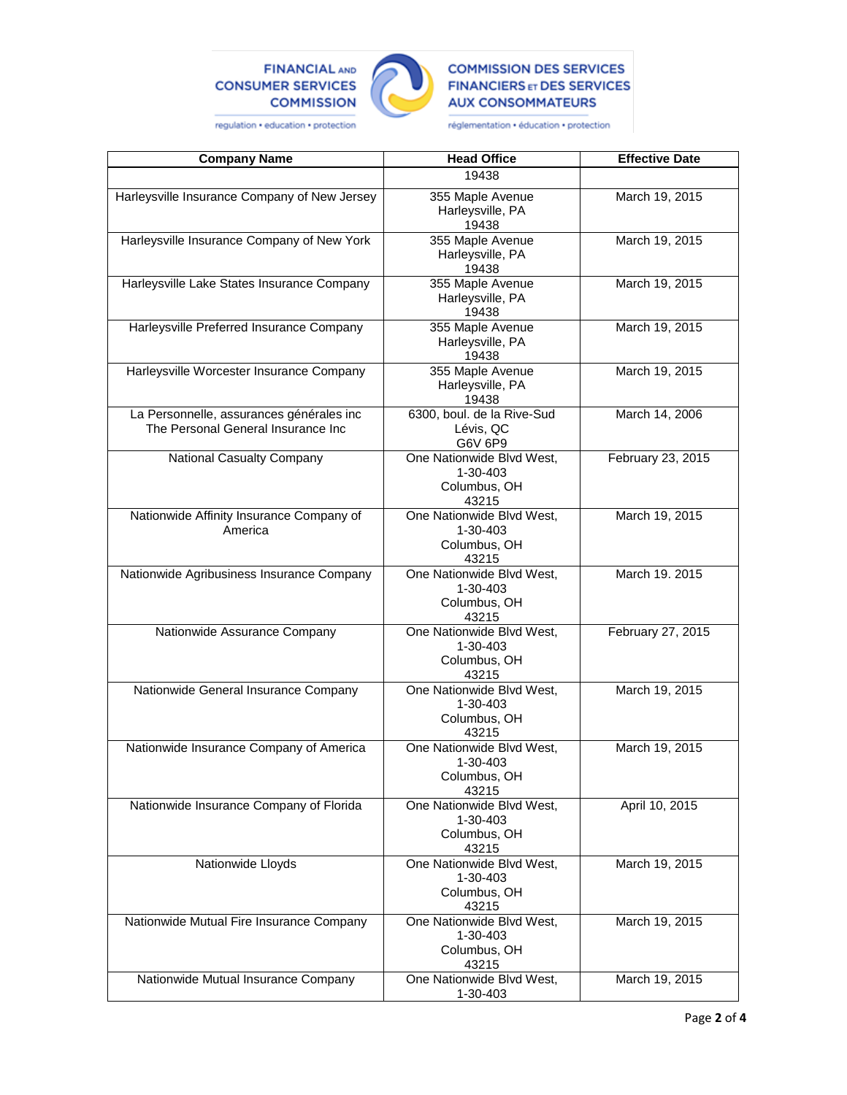## **FINANCIAL AND CONSUMER SERVICES COMMISSION**



## **COMMISSION DES SERVICES FINANCIERS ET DES SERVICES AUX CONSOMMATEURS**

regulation . education . protection

réglementation · éducation · protection

| <b>Company Name</b>                                                            | <b>Head Office</b>                                             | <b>Effective Date</b> |
|--------------------------------------------------------------------------------|----------------------------------------------------------------|-----------------------|
|                                                                                | 19438                                                          |                       |
| Harleysville Insurance Company of New Jersey                                   | 355 Maple Avenue<br>Harleysville, PA<br>19438                  | March 19, 2015        |
| Harleysville Insurance Company of New York                                     | 355 Maple Avenue<br>Harleysville, PA<br>19438                  | March 19, 2015        |
| Harleysville Lake States Insurance Company                                     | 355 Maple Avenue<br>Harleysville, PA<br>19438                  | March 19, 2015        |
| Harleysville Preferred Insurance Company                                       | 355 Maple Avenue<br>Harleysville, PA<br>19438                  | March 19, 2015        |
| Harleysville Worcester Insurance Company                                       | 355 Maple Avenue<br>Harleysville, PA<br>19438                  | March 19, 2015        |
| La Personnelle, assurances générales inc<br>The Personal General Insurance Inc | 6300, boul. de la Rive-Sud<br>Lévis, QC<br>G6V 6P9             | March 14, 2006        |
| National Casualty Company                                                      | One Nationwide Blvd West,<br>1-30-403<br>Columbus, OH<br>43215 | February 23, 2015     |
| Nationwide Affinity Insurance Company of<br>America                            | One Nationwide Blvd West,<br>1-30-403<br>Columbus, OH<br>43215 | March 19, 2015        |
| Nationwide Agribusiness Insurance Company                                      | One Nationwide Blvd West,<br>1-30-403<br>Columbus, OH<br>43215 | March 19. 2015        |
| Nationwide Assurance Company                                                   | One Nationwide Blvd West,<br>1-30-403<br>Columbus, OH<br>43215 | February 27, 2015     |
| Nationwide General Insurance Company                                           | One Nationwide Blvd West,<br>1-30-403<br>Columbus, OH<br>43215 | March 19, 2015        |
| Nationwide Insurance Company of America                                        | One Nationwide Blvd West,<br>1-30-403<br>Columbus, OH<br>43215 | March 19, 2015        |
| Nationwide Insurance Company of Florida                                        | One Nationwide Blvd West,<br>1-30-403<br>Columbus, OH<br>43215 | April 10, 2015        |
| Nationwide Lloyds                                                              | One Nationwide Blvd West,<br>1-30-403<br>Columbus, OH<br>43215 | March 19, 2015        |
| Nationwide Mutual Fire Insurance Company                                       | One Nationwide Blvd West,<br>1-30-403<br>Columbus, OH<br>43215 | March 19, 2015        |
| Nationwide Mutual Insurance Company                                            | One Nationwide Blvd West,<br>1-30-403                          | March 19, 2015        |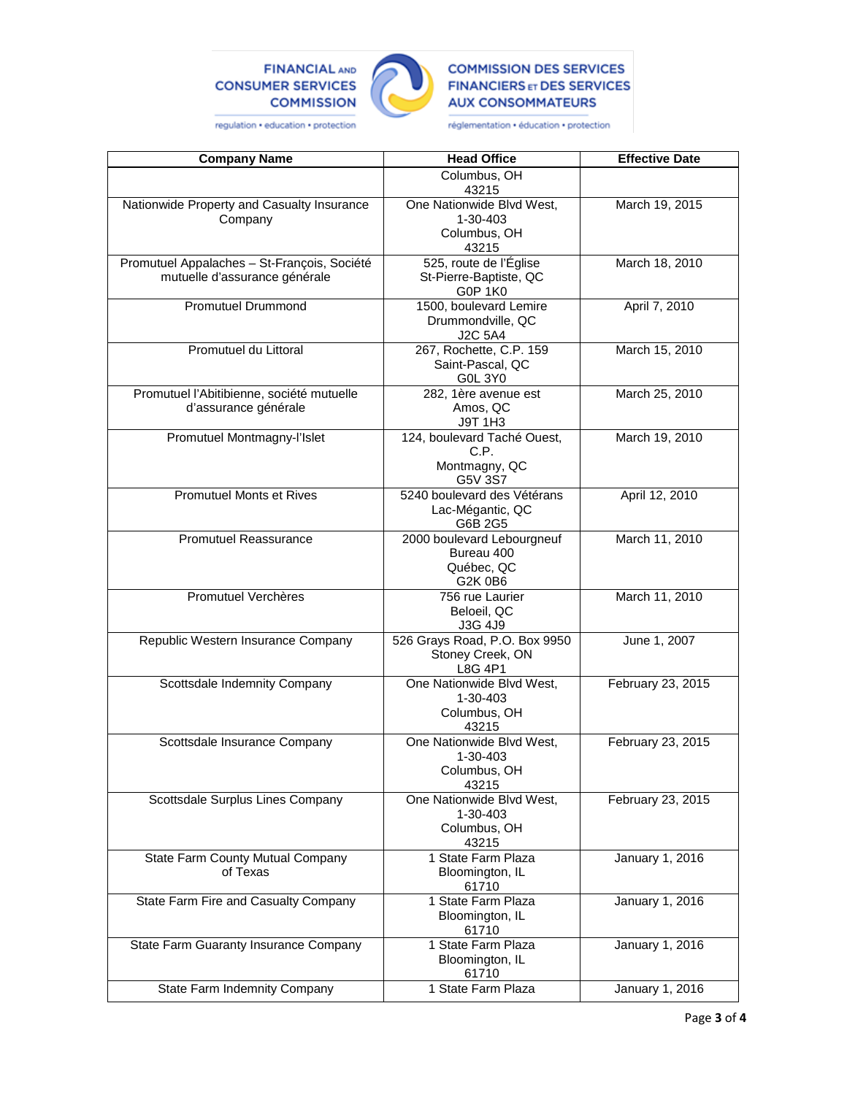## **FINANCIAL AND CONSUMER SERVICES COMMISSION**



## **COMMISSION DES SERVICES FINANCIERS ET DES SERVICES AUX CONSOMMATEURS**

regulation . education . protection

réglementation · éducation · protection

| <b>Company Name</b>                                                          | <b>Head Office</b>                                                 | <b>Effective Date</b> |
|------------------------------------------------------------------------------|--------------------------------------------------------------------|-----------------------|
|                                                                              | Columbus, OH<br>43215                                              |                       |
| Nationwide Property and Casualty Insurance<br>Company                        | One Nationwide Blvd West,<br>1-30-403                              | March 19, 2015        |
|                                                                              | Columbus, OH<br>43215                                              |                       |
| Promutuel Appalaches - St-François, Société<br>mutuelle d'assurance générale | 525, route de l'Église<br>St-Pierre-Baptiste, QC<br><b>G0P 1K0</b> | March 18, 2010        |
| <b>Promutuel Drummond</b>                                                    | 1500, boulevard Lemire<br>Drummondville, QC<br>J2C 5A4             | April 7, 2010         |
| Promutuel du Littoral                                                        | 267, Rochette, C.P. 159<br>Saint-Pascal, QC<br><b>G0L 3Y0</b>      | March 15, 2010        |
| Promutuel l'Abitibienne, société mutuelle<br>d'assurance générale            | 282, 1ère avenue est<br>Amos, QC<br>J9T 1H3                        | March 25, 2010        |
| Promutuel Montmagny-l'Islet                                                  | 124, boulevard Taché Ouest,<br>C.P.<br>Montmagny, QC<br>G5V 3S7    | March 19, 2010        |
| <b>Promutuel Monts et Rives</b>                                              | 5240 boulevard des Vétérans<br>Lac-Mégantic, QC<br>G6B 2G5         | April 12, 2010        |
| Promutuel Reassurance                                                        | 2000 boulevard Lebourgneuf<br>Bureau 400<br>Québec, QC<br>G2K 0B6  | March 11, 2010        |
| <b>Promutuel Verchères</b>                                                   | 756 rue Laurier<br>Beloeil, QC<br>J3G 4J9                          | March 11, 2010        |
| Republic Western Insurance Company                                           | 526 Grays Road, P.O. Box 9950<br>Stoney Creek, ON<br>L8G 4P1       | June 1, 2007          |
| Scottsdale Indemnity Company                                                 | One Nationwide Blvd West,<br>1-30-403<br>Columbus, OH<br>43215     | February 23, 2015     |
| Scottsdale Insurance Company                                                 | One Nationwide Blvd West,<br>1-30-403<br>Columbus, OH<br>43215     | February 23, 2015     |
| Scottsdale Surplus Lines Company                                             | One Nationwide Blvd West,<br>1-30-403<br>Columbus, OH<br>43215     | February 23, 2015     |
| State Farm County Mutual Company<br>of Texas                                 | 1 State Farm Plaza<br>Bloomington, IL<br>61710                     | January 1, 2016       |
| State Farm Fire and Casualty Company                                         | 1 State Farm Plaza<br>Bloomington, IL<br>61710                     | January 1, 2016       |
| State Farm Guaranty Insurance Company                                        | 1 State Farm Plaza<br>Bloomington, IL<br>61710                     | January 1, 2016       |
| <b>State Farm Indemnity Company</b>                                          | 1 State Farm Plaza                                                 | January 1, 2016       |